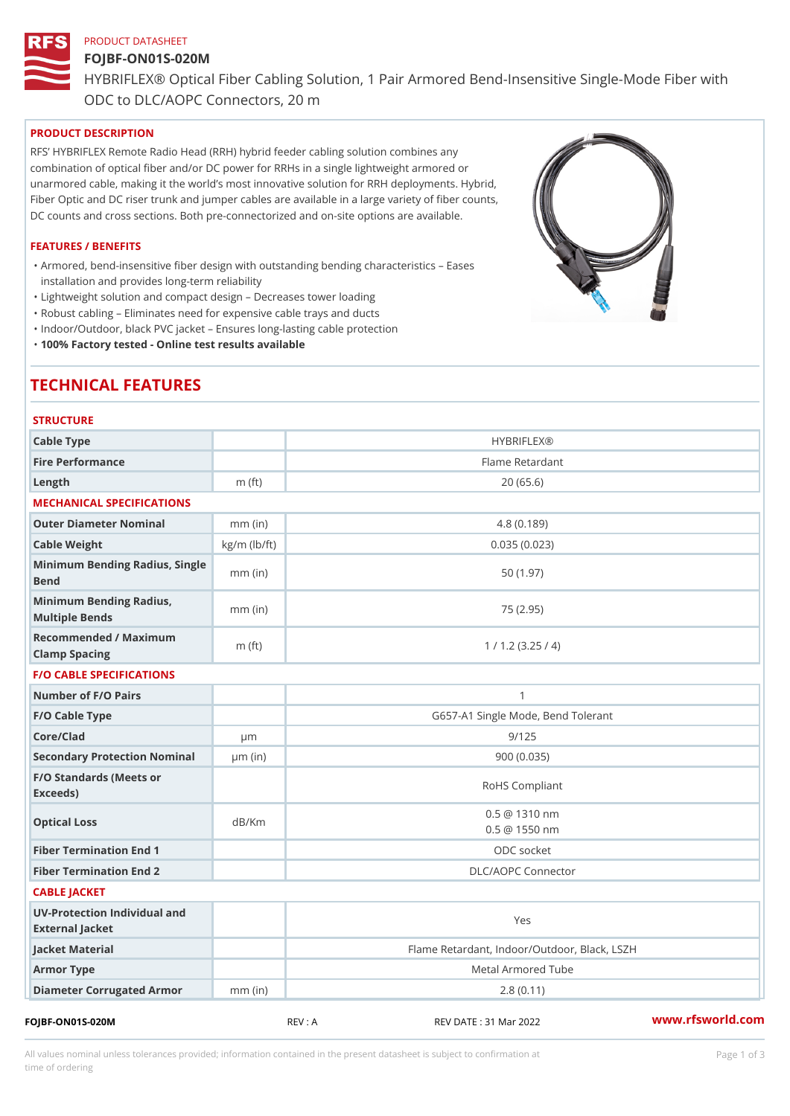# PRODUCT DATASHEET FOJBF-ON01S-020M HYBRIFLEX® Optical Fiber Cabling Solution, 1 Pair Armored Bend-Inse ODC to DLC/AOPC Connectors, 20 m

#### PRODUCT DESCRIPTION

RFS HYBRIFLEX Remote Radio Head (RRH) hybrid feeder cabling solution combines any combination of optical fiber and/or DC power for RRHs in a single lightweight armored or unarmored cable, making it the world s most innovative solution for RRH deployments. Hybrid, Fiber Optic and DC riser trunk and jumper cables are available in a large variety of fiber counts, DC counts and cross sections. Both pre-connectorized and on-site options are available.

#### FEATURES / BENEFITS

Armored, bend-insensitive fiber design with outstanding bending characteristics Eases " installation and provides long-term reliability

"Lightweight solution and compact design Decreases tower loading

"Robust cabling Eliminates need for expensive cable trays and ducts

"Indoor/Outdoor, black PVC jacket Ensures long-lasting cable protection

"100% Factory tested - Online test results available

# TECHNICAL FEATURES

| <b>STRUCTURE</b>                                  |                    |                                              |  |  |
|---------------------------------------------------|--------------------|----------------------------------------------|--|--|
| Cable Type                                        |                    | <b>HYBRIFLEX®</b>                            |  |  |
| Fire Performance                                  |                    | Flame Retardant                              |  |  |
| $L$ ength                                         | m $(ft)$           | 20(65.6)                                     |  |  |
| MECHANICAL SPECIFICATIONS                         |                    |                                              |  |  |
| Outer Diameter Nominal                            | $mm$ (in)          | 4.8(0.189)                                   |  |  |
| Cable Weight                                      | $kg/m$ ( $lb/ft$ ) | 0.035(0.023)                                 |  |  |
| Minimum Bending Radius, Single<br>mm (in)<br>Bend |                    | 50(1.97)                                     |  |  |
| Minimum Bending Radius, mm (in)<br>Multiple Bends |                    | 75 (2.95)                                    |  |  |
| Recommended / Maximum<br>Clamp Spacing            | m $(ft)$           | 1 / 1.2 (3.25 / 4)                           |  |  |
| <b>F/O CABLE SPECIFICATIONS</b>                   |                    |                                              |  |  |
| Number of F/O Pairs                               |                    | 1                                            |  |  |
| F/O Cable Type                                    |                    | G657-A1 Single Mode, Bend Tolerant           |  |  |
| Core/Clad                                         | $\mu$ m            | 9/125                                        |  |  |
| Secondary Protection Nomumal(in)                  |                    | 900(0.035)                                   |  |  |
| F/O Standards (Meets or<br>Exceeds)               |                    | RoHS Compliant                               |  |  |
| Optical Loss                                      | dB/Km              | $0.5 \ @ \ 1310 \ nm$<br>$0.5 \t@ 1550 nm$   |  |  |
| Fiber Termination End                             |                    | ODC socket                                   |  |  |
| Fiber Termination End 2                           |                    | DLC/AOPC Connector                           |  |  |
| CABLE JACKET                                      |                    |                                              |  |  |
| UV-Protection Individual and<br>External Jacket   |                    | Yes                                          |  |  |
| Jacket Material                                   |                    | Flame Retardant, Indoor/Outdoor, Black, LSZH |  |  |
| Armor Type                                        |                    | Metal Armored Tube                           |  |  |
| Diameter Corrugated Armomm (in)                   |                    | 2.8(0.11)                                    |  |  |
|                                                   |                    | $\sim$ $\sim$                                |  |  |

FOJBF-ON01S-020M REV : A REV DATE : 31 Mar 2022 [www.](https://www.rfsworld.com)rfsworld.com

All values nominal unless tolerances provided; information contained in the present datasheet is subject to Pcapgeign mation time of ordering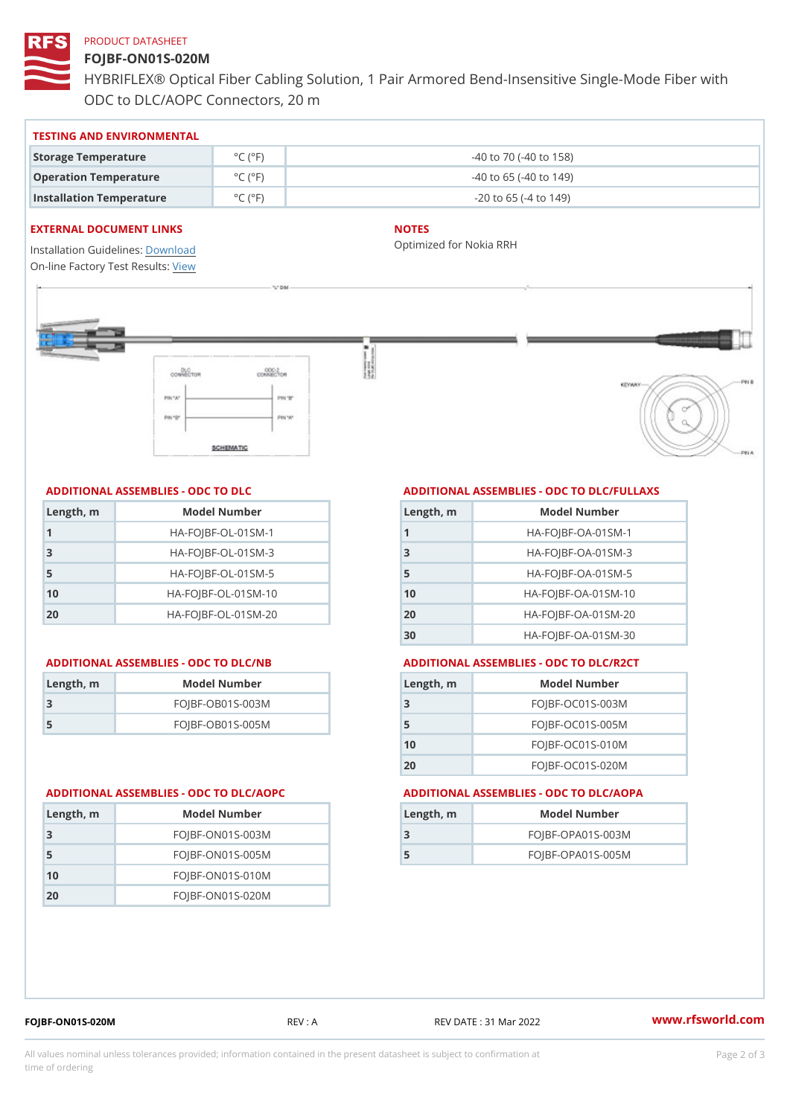#### PRODUCT DATASHEET

### FOJBF-ON01S-020M

HYBRIFLEX® Optical Fiber Cabling Solution, 1 Pair Armored Bend-Inse ODC to DLC/AOPC Connectors, 20 m

#### TESTING AND ENVIRONMENTAL

| Storage Temperature              | $^{\circ}$ C ( $^{\circ}$ F $\vert$ | $-40$ to $70$ ( $-40$ to $158$ ) |
|----------------------------------|-------------------------------------|----------------------------------|
| Operation Temperature            | $^{\circ}$ C ( $^{\circ}$ F $\vert$ | $-40$ to 65 ( $-40$ to 149)      |
| Installation Temperature °C (°F) |                                     | $-20$ to 65 ( $-4$ to 149)       |

#### EXTERNAL DOCUMENT LINKS

Installation Guidelwinessad On-line Factory Te[s](https://www.rfsworld.com/pictures/userfiles/programs/AAST Latest Version.zip)teResults:

#### NOTES

Optimized for Nokia RRH

#### ADDITIONAL ASSEMBLIES - ODC TO DLC

| Length, m | Model Number                   |
|-----------|--------------------------------|
| 1         | $HA - FOJBF - OL - 01SM - 1$   |
| -3        | $HA-FOJBF-OL-01SM-3$           |
| -5        | $HA - FOJBF - OL - 01SM - 5$   |
| 10        | $HA - FOJBF - O L - 01SM - 10$ |
| 20        | $HA - FOJBF - O L - 01SM - 20$ |

#### ADDITIONAL ASSEMBLIES - ODC TO DLC/NB

| Length, m | Model Number       |
|-----------|--------------------|
| 3         | $FOJBF-OBO1S-OO3M$ |
| .5        | $FOJBF-OBO1S-OO5M$ |

20 FOJBF-ON01S-020M

## ADDITIONAL ASSEMBLIES - ODC TO DLC/FULLAXS

| Length, m | Model Number                  |
|-----------|-------------------------------|
|           | $HA - FOJBF - OA - 01SM - 1$  |
| 3         | $HA - FOJBF - OA - 01SM - B$  |
| 5         | $HA - FOJBF - OA - 01SM - 5$  |
| 10        | $HA-FOJBF-OA-01SM-10$         |
| 20        | $HA - FOJBF - OA - 01SM - 20$ |
| 30        | HA-FOJBF-OA-01SM-30           |

#### ADDITIONAL ASSEMBLIES - ODC TO DLC/R2CT

| Length, m | Model Number       |
|-----------|--------------------|
| - 3       | FOJBF-OC01S-003M   |
| 5         | $FOJBF-OCO1S-005M$ |
| 10        | $FOJBF-OCO1S-010M$ |
| 20        | FOJBF-OC01S-020M   |

#### ADDITIONAL ASSEMBLIES - ODC TO DLC/AOPC ADDITIONAL ASSEMBLIES - ODC TO DLC/AOPA

| Length, rn | Model Number       | Length, m | Model Number   |
|------------|--------------------|-----------|----------------|
| 3          | $FOJBF-ON01S-003M$ |           | $FOJBF-OPAO1S$ |
| -5         | $FOJBF-ON01S-005M$ |           | FOJBF-OPA01S   |
| 10         | $FOJBF-ON01S-010M$ |           |                |

| $FOJBF-ON01S-020M$ |  |
|--------------------|--|
|--------------------|--|

REV : A REV DATE : 31 Mar 2022 [www.](https://www.rfsworld.com)rfsworld.com

 $S - 003M$  $S - 005M$ 

All values nominal unless tolerances provided; information contained in the present datasheet is subject to Pcapgelio an atio time of ordering